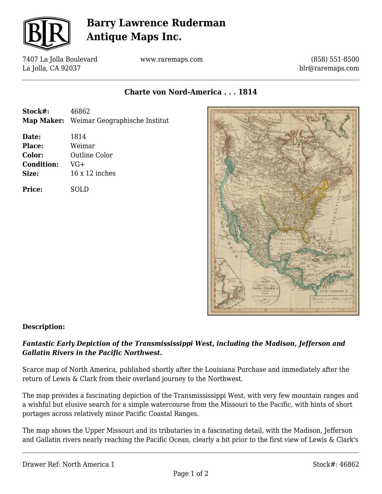

# **Barry Lawrence Ruderman Antique Maps Inc.**

7407 La Jolla Boulevard La Jolla, CA 92037

www.raremaps.com

(858) 551-8500 blr@raremaps.com

**Charte von Nord-America . . . 1814**

- **Stock#:** 46862 **Map Maker:** Weimar Geographische Institut
- **Date:** 1814 **Place:** Weimar **Color:** Outline Color **Condition:** VG+ **Size:** 16 x 12 inches

**Price:** SOLD



### **Description:**

### *Fantastic Early Depiction of the Transmississippi West, including the Madison, Jefferson and Gallatin Rivers in the Pacific Northwest.*

Scarce map of North America, published shortly after the Louisiana Purchase and immediately after the return of Lewis & Clark from their overland journey to the Northwest.

The map provides a fascinating depiction of the Transmississippi West, with very few mountain ranges and a wishful but elusive search for a simple watercourse from the Missouri to the Pacific, with hints of short portages across relatively minor Pacific Coastal Ranges.

The map shows the Upper Missouri and its tributaries in a fascinating detail, with the Madison, Jefferson and Gallatin rivers nearly reaching the Pacific Ocean, clearly a bit prior to the first view of Lewis & Clark's